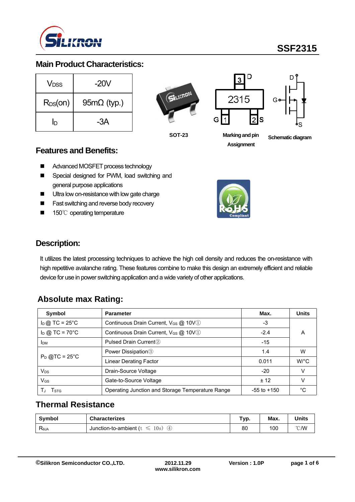

## **Main Product Characteristics:**

| Vnss         | $-20V$             |
|--------------|--------------------|
| $R_{DS}(on)$ | $95m\Omega$ (typ.) |
| In           | -3A                |







**SOT-23 Markingandpin Assignment**

**Schematic diagram** 

### **Features and Benefits:**

- Advanced MOSFET process technology
- Special designed for PWM, load switching and general purpose applications
- **Ultra low on-resistance with low gate charge**
- **Fast switching and reverse body recovery**
- 150℃ operating temperature



### **Description:**

It utilizes the latest processing techniques to achieve the high cell density and reduces the on-resistance with high repetitive avalanche rating. These features combine to make this design an extremely efficient and reliable device for use in power switching application and a wide variety of other applications.

## **Absolute max Rating:**

| Symbol                           | <b>Parameter</b>                                 | Max.            | <b>Units</b>         |
|----------------------------------|--------------------------------------------------|-----------------|----------------------|
| $I_D$ @ TC = 25°C                | Continuous Drain Current, V <sub>GS</sub> @ 10V1 |                 |                      |
| $I_D$ @ TC = 70 $^{\circ}$ C     | Continuous Drain Current, V <sub>GS</sub> @ 10V1 |                 | А                    |
| <b>I</b> <sub>DM</sub>           | Pulsed Drain Current <sup>2</sup>                |                 |                      |
|                                  | Power Dissipation <sup>3</sup>                   | 1.4             | w                    |
| $P_D$ @TC = 25°C                 | <b>Linear Derating Factor</b>                    | 0.011           | $W$ <sup>o</sup> $C$ |
| $V_{DS}$<br>Drain-Source Voltage |                                                  | $-20$           |                      |
| $V_{GS}$                         | Gate-to-Source Voltage                           | ± 12            |                      |
| I STG                            | Operating Junction and Storage Temperature Range | $-55$ to $+150$ | °€                   |

## **Thermal Resistance**

| Symbol                           | <b>Characterizes</b>                          | Typ. | Max. | <b>Units</b>   |
|----------------------------------|-----------------------------------------------|------|------|----------------|
| $\mathsf{R}_{\theta\mathsf{JA}}$ | Junction-to-ambient ( $t \leq$<br>10s)<br>(4) | 80   | 100  | $^{\circ}$ C/W |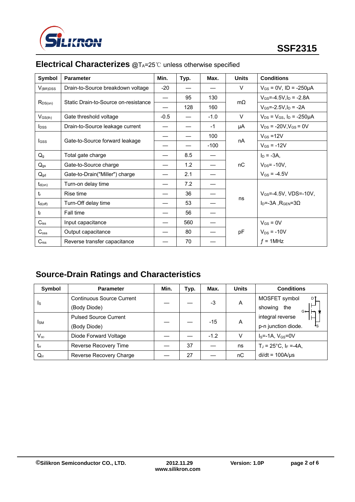

| <b>Symbol</b>       | <b>Parameter</b>                     | Min.                     | Typ. | Max.   | <b>Units</b> | <b>Conditions</b>                        |
|---------------------|--------------------------------------|--------------------------|------|--------|--------------|------------------------------------------|
| $V_{(BR)DSS}$       | Drain-to-Source breakdown voltage    | $-20$                    |      |        | V            | $V_{GS} = 0V$ , ID = -250µA              |
|                     |                                      | $\overline{\phantom{0}}$ | 95   | 130    |              | $V_{GS} = -4.5V, I_D = -2.8A$            |
| $R_{DS(on)}$        | Static Drain-to-Source on-resistance |                          | 128  | 160    | $m\Omega$    | $V_{GS} = -2.5V, I_D = -2A$              |
| $V_{GS(th)}$        | Gate threshold voltage               | $-0.5$                   |      | $-1.0$ | $\vee$       | $V_{DS} = V_{GS}$ , $I_D = -250 \mu A$   |
| $I_{DSS}$           | Drain-to-Source leakage current      |                          |      | $-1$   | μA           | $V_{DS}$ = -20V, $V_{GS}$ = 0V           |
|                     |                                      |                          |      | 100    |              | $V_{GS} = 12V$                           |
| <b>I</b> GSS        | Gate-to-Source forward leakage       |                          |      | $-100$ | nA           | $V_{GS} = -12V$                          |
| $Q_{g}$             | Total gate charge                    |                          | 8.5  |        |              | $I_D = -3A$ ,                            |
| $Q_{gs}$            | Gate-to-Source charge                |                          | 1.2  |        | nC           | $V_{DS}$ = -10V,                         |
| $Q_{gd}$            | Gate-to-Drain("Miller") charge       |                          | 2.1  |        |              | $V_{GS} = -4.5V$                         |
| $t_{d(on)}$         | Turn-on delay time                   |                          | 7.2  |        |              |                                          |
| $t_{r}$             | Rise time                            |                          | 36   |        |              | $V_{GS} = -4.5V$ , VDS= $-10V$ ,         |
| $t_{d(\text{off})}$ | Turn-Off delay time                  |                          | 53   |        | ns           | $I_D$ =-3A, R <sub>GEN</sub> =3 $\Omega$ |
| tr                  | Fall time                            |                          | 56   |        |              |                                          |
| $C_{\text{iss}}$    | Input capacitance                    |                          | 560  |        |              | $V_{GS} = 0V$                            |
| $C_{\rm oss}$       | Output capacitance                   |                          | 80   |        | pF           | $V_{DS}$ = -10V                          |
| C <sub>rss</sub>    | Reverse transfer capacitance         |                          | 70   |        |              | $f = 1$ MHz                              |

# **Electrical Characterizes** @T<sub>A</sub>=25℃ unless otherwise specified

# **Source-Drain Ratings and Characteristics**

| Symbol                     | <b>Parameter</b>                 | Min. | Typ. | Max.   | <b>Units</b> | <b>Conditions</b>                   |
|----------------------------|----------------------------------|------|------|--------|--------------|-------------------------------------|
|                            | <b>Continuous Source Current</b> |      |      | -3     | A            | MOSFET symbol<br>D۱                 |
| <sub>s</sub>               | (Body Diode)                     |      |      |        |              | showing the<br>G⊶                   |
| <b>I</b> <sub>SM</sub>     | <b>Pulsed Source Current</b>     |      |      | -15    | Α            | integral reverse                    |
|                            | (Body Diode)                     |      |      |        |              | p-n junction diode.<br>۰s           |
| $\mathsf{V}_{\mathsf{SD}}$ | Diode Forward Voltage            |      |      | $-1.2$ | V            | $IS=-1A$ , $VGS=0V$                 |
| $t_{\rm ff}$               | Reverse Recovery Time            |      | 37   |        | ns           | $T_J = 25^{\circ}C$ , $I_F = -4A$ , |
| $Q_{rr}$                   | Reverse Recovery Charge          |      | 27   |        | nС           | $di/dt = 100A/\mu s$                |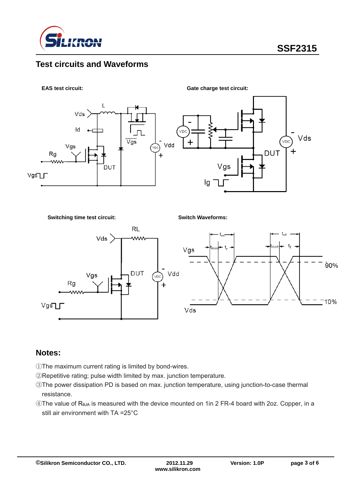

### **Test circuits and Waveforms**



**Switching time test circuit:**

**Switch Waveforms:**



#### **Notes:**

- ①The maximum current rating is limited by bond-wires.
- ②Repetitive rating; pulse width limited by max. junction temperature.
- ③The power dissipation PD is based on max. junction temperature, using junction-to-case thermal resistance.
- ④The value of RθJA is measured with the device mounted on 1in 2 FR-4 board with 2oz. Copper, in a still air environment with TA =25°C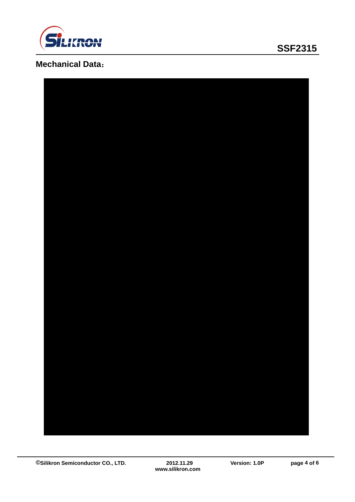

# **SSF2315**

# **Mechanical Data**:

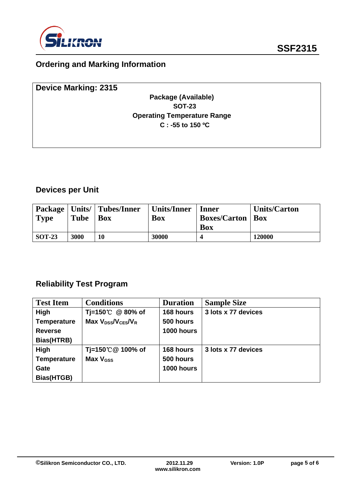

# **Ordering and Marking Information**

| <b>Device Marking: 2315</b> |                                    |  |
|-----------------------------|------------------------------------|--|
|                             | Package (Available)                |  |
|                             | <b>SOT-23</b>                      |  |
|                             | <b>Operating Temperature Range</b> |  |
|                             | $C: -55$ to 150 °C                 |  |
|                             |                                    |  |
|                             |                                    |  |

# **Devices per Unit**

|               |      | Package   Units/   Tubes/Inner | Units/Inner | Inner                     | <b>Units/Carton</b> |
|---------------|------|--------------------------------|-------------|---------------------------|---------------------|
| Type          | Tube | <b>Box</b>                     | Box         | <b>Boxes/Carton   Box</b> |                     |
|               |      |                                |             | <b>Box</b>                |                     |
| <b>SOT-23</b> | 3000 | 10                             | 30000       |                           | 120000              |

## **Reliability Test Program**

| <b>Test Item</b>   | <b>Conditions</b>                                      | <b>Duration</b> | <b>Sample Size</b>  |
|--------------------|--------------------------------------------------------|-----------------|---------------------|
| High               | Tj=150℃ @ 80% of                                       | 168 hours       | 3 lots x 77 devices |
| <b>Temperature</b> | Max V <sub>DSS</sub> /V <sub>CES</sub> /V <sub>R</sub> | 500 hours       |                     |
| <b>Reverse</b>     |                                                        | 1000 hours      |                     |
| Bias(HTRB)         |                                                        |                 |                     |
| High               | Tj=150℃@ 100% of                                       | 168 hours       | 3 lots x 77 devices |
| <b>Temperature</b> | Max V <sub>GSS</sub>                                   | 500 hours       |                     |
| Gate               |                                                        | 1000 hours      |                     |
| Bias(HTGB)         |                                                        |                 |                     |